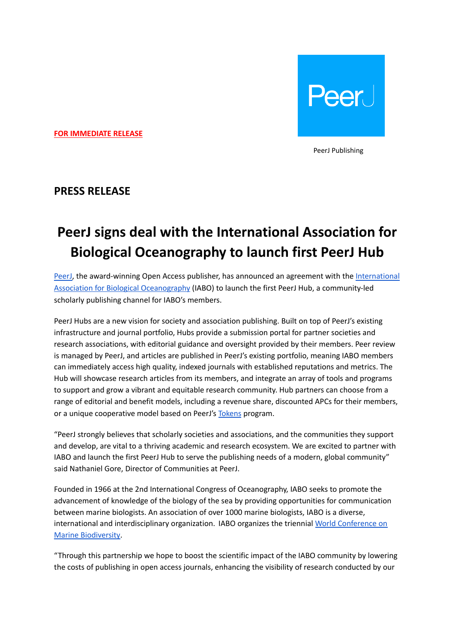

**FOR IMMEDIATE RELEASE**

PeerJ Publishing

## **PRESS RELEASE**

# **PeerJ signs deal with the International Association for Biological Oceanography to launch first PeerJ Hub**

[PeerJ,](https://peerj.com/) the award-winning Open Access publisher, has announced an agreement with the [International](http://www.iabo.org/) Association for Biological [Oceanography](http://www.iabo.org/) (IABO) to launch the first PeerJ Hub, a community-led scholarly publishing channel for IABO's members.

PeerJ Hubs are a new vision for society and association publishing. Built on top of PeerJ's existing infrastructure and journal portfolio, Hubs provide a submission portal for partner societies and research associations, with editorial guidance and oversight provided by their members. Peer review is managed by PeerJ, and articles are published in PeerJ's existing portfolio, meaning IABO members can immediately access high quality, indexed journals with established reputations and metrics. The Hub will showcase research articles from its members, and integrate an array of tools and programs to support and grow a vibrant and equitable research community. Hub partners can choose from a range of editorial and benefit models, including a revenue share, discounted APCs for their members, or a unique cooperative model based on PeerJ's [Tokens](https://peerj.com/blog/post/115284885301/peerj-tokens-rewarding-peer-review/) program.

"PeerJ strongly believes that scholarly societies and associations, and the communities they support and develop, are vital to a thriving academic and research ecosystem. We are excited to partner with IABO and launch the first PeerJ Hub to serve the publishing needs of a modern, global community" said Nathaniel Gore, Director of Communities at PeerJ.

Founded in 1966 at the 2nd International Congress of Oceanography, IABO seeks to promote the advancement of knowledge of the biology of the sea by providing opportunities for communication between marine biologists. An association of over 1000 marine biologists, IABO is a diverse, international and interdisciplinary organization. IABO organizes the triennial World [Conference](http://www.iabo.org/?page_id=645) on Marine [Biodiversity.](http://www.iabo.org/?page_id=645)

"Through this partnership we hope to boost the scientific impact of the IABO community by lowering the costs of publishing in open access journals, enhancing the visibility of research conducted by our